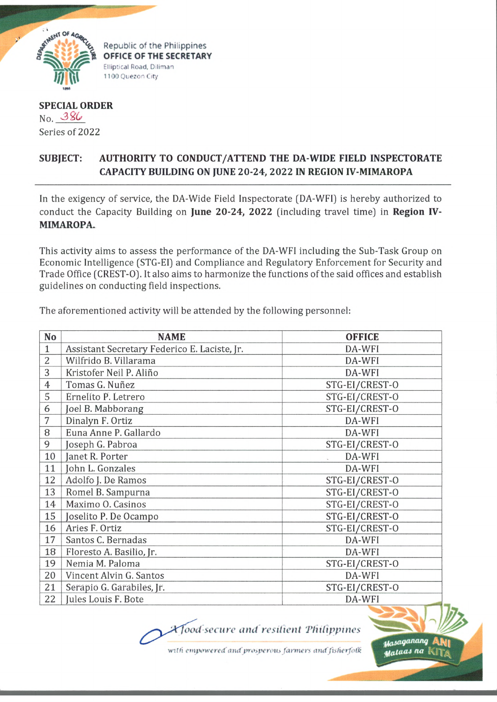

Republic of the Philippines OFFICE OF THE SECRETARY Elliptical Road, Diliman 1100 Quezon City

**SPECIAL ORDER** No. 386 Series of 2022

## AUTHORITY TO CONDUCT/ATTEND THE DA-WIDE FIELD INSPECTORATE **SUBJECT: CAPACITY BUILDING ON JUNE 20-24, 2022 IN REGION IV-MIMAROPA**

In the exigency of service, the DA-Wide Field Inspectorate (DA-WFI) is hereby authorized to conduct the Capacity Building on June 20-24, 2022 (including travel time) in Region IV-MIMAROPA.

This activity aims to assess the performance of the DA-WFI including the Sub-Task Group on Economic Intelligence (STG-EI) and Compliance and Regulatory Enforcement for Security and Trade Office (CREST-O). It also aims to harmonize the functions of the said offices and establish guidelines on conducting field inspections.

The aforementioned activity will be attended by the following personnel:

| No             | <b>NAME</b>                                  | <b>OFFICE</b>  |
|----------------|----------------------------------------------|----------------|
| $\mathbf{1}$   | Assistant Secretary Federico E. Laciste, Jr. | DA-WFI         |
| $\overline{2}$ | Wilfrido B. Villarama                        | DA-WFI         |
| 3              | Kristofer Neil P. Aliño                      | DA-WFI         |
| $\overline{4}$ | Tomas G. Nuñez                               | STG-EI/CREST-O |
| 5              | Ernelito P. Letrero                          | STG-EI/CREST-O |
| 6              | Joel B. Mabborang                            | STG-EI/CREST-O |
| 7              | Dinalyn F. Ortiz                             | DA-WFI         |
| 8              | Euna Anne P. Gallardo                        | DA-WFI         |
| 9              | Joseph G. Pabroa                             | STG-EI/CREST-O |
| 10             | Janet R. Porter                              | DA-WFI         |
| 11             | John L. Gonzales                             | DA-WFI         |
| 12             | Adolfo J. De Ramos                           | STG-EI/CREST-O |
| 13             | Romel B. Sampurna                            | STG-EI/CREST-O |
| 14             | Maximo O. Casinos                            | STG-EI/CREST-O |
| 15             | Joselito P. De Ocampo                        | STG-EI/CREST-O |
| 16             | Aries F. Ortiz                               | STG-EI/CREST-O |
| 17             | Santos C. Bernadas                           | DA-WFI         |
| 18             | Floresto A. Basilio, Jr.                     | DA-WFI         |
| 19             | Nemia M. Paloma                              | STG-EI/CREST-O |
| 20             | Vincent Alvin G. Santos                      | DA-WFI         |
| 21             | Serapio G. Garabiles, Jr.                    | STG-EI/CREST-O |
| 22             | Jules Louis F. Bote                          | DA-WFI         |

*Afood-secure and resilient Philippines* 

with empowered and prosperous farmers and fisherfolk

**Masaganang** stalaas na |